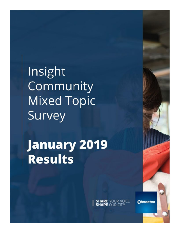Insight Community **Mixed Topic** Survey

**January 2019 Results** 

**SHARE** YOUR VOICE

**Edmonton**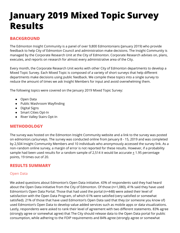# **January 2019 Mixed Topic Survey Results**

## **BACKGROUND**

The Edmonton Insight Community is a panel of over 9,800 Edmontonians (January 2019) who provide feedback to help City of Edmonton Council and administration make decisions. The Insight Community is managed by the Corporate Research Unit at the City of Edmonton. Corporate Research advises on, plans, executes, and reports on research for almost every administrative area of the City.

Every month, the Corporate Research Unit works with other City of Edmonton departments to develop a Mixed Topic Survey. Each Mixed Topic is composed of a variety of short surveys that help different departments make decisions using public feedback. We compile these topics into a single survey to reduce the amount of times we ask Insight Members for input and avoid overwhelming them.

The following topics were covered on the January 2019 Mixed Topic Survey:

- Open Data
- Public Washroom Wayfinding
- Digital Signs
- Smart Cities Opt-In
- River Valley Stairs Opt-In

## **METHODOLOGY**

The survey was hosted on the Edmonton Insight Community website and a link to the survey was posted on edmonton.ca/surveys. The survey was conducted online from January 8 - 15, 2019 and was completed by 2,504 Insight Community Members and 10 individuals who anonymously accessed the survey link. As a non-random online survey, a margin of error is not reported for these results. However, if a probability sample had been used results for a random sample of 2,514 it would be accurate  $\pm$  1.95 percentage points, 19 times out of 20.

### **RESULTS SUMMARY**

#### Open Data

We asked questions about Edmonton's Open Data initiative. 43% of respondents said they had heard about the Open Data initiative from the City of Edmonton. Of those (n=1,080), 41% said they have used Edmonton's Open Data Portal. Those that had used the portal (n=448) were asked their level of satisfaction with the Open Data Program, of which 61% were satisfied (very satisfied or somewhat satisfied). 21% of those that have used Edmonton's Open Data said that they (or someone you know of) used Edmonton's Open Data to develop value added services such as mobile apps or data visualizations. Lastly, respondents were asked to rank their level of agreement with two different statements. 83% agree (strongly agree or somewhat agree) that The City should release data to the Open Data portal for public consumption, while adhering to the FOIP requirements and 84% agree (strongly agree or somewhat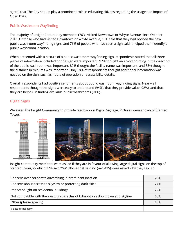agree) that The City should play a prominent role in educating citizens regarding the usage and impact of Open Data.

#### Public Washroom Wayfinding

The majority of Insight Community members (76%) visited Downtown or Whyte Avenue since October 2018. Of those who had visited Downtown or Whyte Avenue, 16% said that they had noticed the new public washroom wayfinding signs, and 76% of people who had seen a sign said it helped them identify a public washroom location.

When presented with a picture of a public washroom wayfinding sign, respondents stated that all three pieces of information included on the sign were important: 97% thought an arrow pointing in the direction of the public washroom was important, 89% thought the facility name was important, and 83% thought the distance in minutes was important. Only 19% of respondents thought additional information was needed on the sign, such as hours of operation or accessibility details.

Overall, respondents had positive sentiments about public washroom wayfinding signs. Nearly all respondents thought the signs were easy to understand (94%), that they provide value (92%), and that they are helpful in finding available public washrooms (91%).

#### Digital Signs

We asked the Insight Community to provide feedback on Digital Signage. Pictures were shown of Stantec Tower:



Insight community members were asked if they are in favour of allowing large digital signs on the top of Stantec Tower, in which 27% said 'Yes'. Those that said no (n=1,435) were asked why they said so:

| Concern over corporate advertising in prominent location                      | 76% |
|-------------------------------------------------------------------------------|-----|
| Concern about access to skyview or protecting dark skies                      | 74% |
| Impact of light on residential buildings                                      | 72% |
| Not compatible with the existing character of Edmonton's downtown and skyline | 66% |
| Other (please specify)                                                        | 43% |
| [Select all that apply]                                                       |     |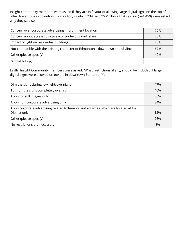Insight community members were asked if they are in favour of allowing large digital signs on the top of other tower tops in downtown Edmonton, in which 23% said 'Yes'. Those that said no (n=1,450) were asked why they said so:

| Concern over corporate advertising in prominent location                      | 76% |
|-------------------------------------------------------------------------------|-----|
| Concern about access to skyview or protecting dark skies                      | 75% |
| Impact of light on residential buildings                                      | 75% |
| Not compatible with the existing character of Edmonton's downtown and skyline | 67% |
| Other (please specify)                                                        | 40% |
| [Select all that apply]                                                       |     |

Lastly, Insight Community members were asked: "What restrictions, if any, should be included if large digital signs were allowed on towers in downtown Edmonton?":

| Dim the signs during low light/overnight                                               | 47% |
|----------------------------------------------------------------------------------------|-----|
| Turn off the signs completely overnight                                                | 46% |
| Allow for still images only                                                            | 36% |
| Allow non-corporate advertising only                                                   | 34% |
| Allow corporate advertising related to tenants and activities which are located at Ice |     |
| District only                                                                          | 12% |
| Other (please specify)                                                                 | 26% |
| No restrictions are necessary                                                          | 8%  |